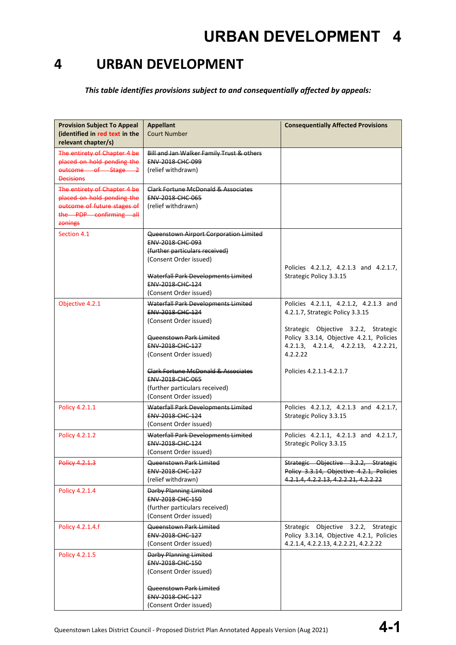*This table identifies provisions subject to and consequentially affected by appeals:*

| <b>Provision Subject To Appeal</b><br>(identified in red text in the<br>relevant chapter/s)                                    | <b>Appellant</b><br><b>Court Number</b>                                                                                                                                                                            | <b>Consequentially Affected Provisions</b>                                                                                                                                                                          |
|--------------------------------------------------------------------------------------------------------------------------------|--------------------------------------------------------------------------------------------------------------------------------------------------------------------------------------------------------------------|---------------------------------------------------------------------------------------------------------------------------------------------------------------------------------------------------------------------|
| The entirety of Chapter 4 be<br>placed on hold pending the<br>outcome of Stage 2<br><b>Decisions</b>                           | Bill and Jan Walker Family Trust & others<br><b>ENV 2018 CHC 099</b><br>(relief withdrawn)                                                                                                                         |                                                                                                                                                                                                                     |
| The entirety of Chapter 4 be<br>placed on hold pending the<br>outcome of future stages of<br>the PDP confirming all<br>zonings | Clark Fortune McDonald & Associates<br>ENV-2018-CHC-065<br>(relief withdrawn)                                                                                                                                      |                                                                                                                                                                                                                     |
| Section 4.1                                                                                                                    | Queenstown Airport Corporation Limited<br>ENV-2018-CHC-093<br>(further particulars received)<br>(Consent Order issued)<br>Waterfall Park Developments Limited<br><b>ENV 2018 CHC 124</b><br>(Consent Order issued) | Policies 4.2.1.2, 4.2.1.3 and 4.2.1.7,<br>Strategic Policy 3.3.15                                                                                                                                                   |
| Objective 4.2.1                                                                                                                | Waterfall Park Developments Limited<br><b>ENV-2018-CHC-124</b><br>(Consent Order issued)<br>Queenstown Park Limited<br>ENV-2018-CHC-127<br>(Consent Order issued)                                                  | Policies 4.2.1.1, 4.2.1.2, 4.2.1.3 and<br>4.2.1.7, Strategic Policy 3.3.15<br>Strategic Objective 3.2.2, Strategic<br>Policy 3.3.14, Objective 4.2.1, Policies<br>4.2.1.3, 4.2.1.4, 4.2.2.13, 4.2.2.21,<br>4.2.2.22 |
|                                                                                                                                | <b>Clark Fortune McDonald &amp; Associates</b><br><b>ENV 2018 CHC 065</b><br>(further particulars received)<br>(Consent Order issued)                                                                              | Policies 4.2.1.1-4.2.1.7                                                                                                                                                                                            |
| Policy 4.2.1.1                                                                                                                 | Waterfall Park Developments Limited<br><b>FNV 2018 CHC 124</b><br>(Consent Order issued)                                                                                                                           | Policies 4.2.1.2, 4.2.1.3 and 4.2.1.7,<br>Strategic Policy 3.3.15                                                                                                                                                   |
| Policy 4.2.1.2                                                                                                                 | Waterfall Park Developments Limited<br>ENV-2018-CHC-124<br>(Consent Order issued)                                                                                                                                  | Policies 4.2.1.1, 4.2.1.3 and 4.2.1.7,<br>Strategic Policy 3.3.15                                                                                                                                                   |
| <b>Policy 4.2.1.3</b>                                                                                                          | Queenstown Park Limited<br>ENV-2018-CHC-127<br>(relief withdrawn)                                                                                                                                                  | Strategic Objective 3.2.2, Strategic<br>Policy 3.3.14, Objective 4.2.1, Policies<br>4.2.1.4, 4.2.2.13, 4.2.2.21, 4.2.2.22                                                                                           |
| Policy 4.2.1.4                                                                                                                 | <b>Darby Planning Limited</b><br>ENV-2018-CHC-150<br>(further particulars received)<br>(Consent Order issued)                                                                                                      |                                                                                                                                                                                                                     |
| Policy 4.2.1.4.f                                                                                                               | <b>Queenstown Park Limited</b><br>ENV-2018-CHC-127<br>(Consent Order issued)                                                                                                                                       | Strategic Objective 3.2.2, Strategic<br>Policy 3.3.14, Objective 4.2.1, Policies<br>4.2.1.4, 4.2.2.13, 4.2.2.21, 4.2.2.22                                                                                           |
| Policy 4.2.1.5                                                                                                                 | <b>Darby Planning Limited</b><br>ENV-2018-CHC-150<br>(Consent Order issued)<br>Queenstown Park Limited<br>ENV-2018-CHC-127<br>(Consent Order issued)                                                               |                                                                                                                                                                                                                     |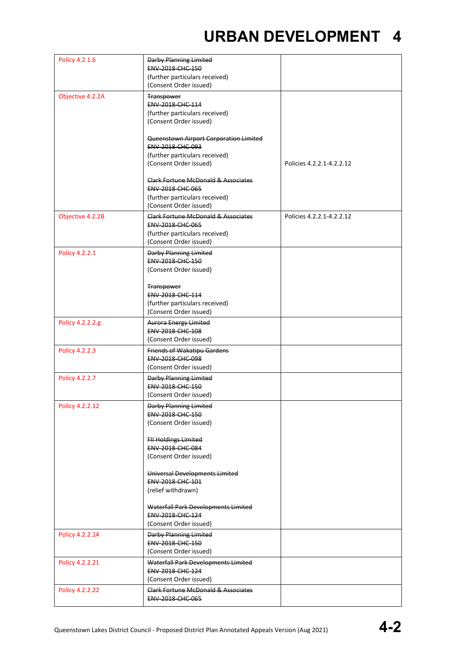| Policy 4.2.1.6   | Darby Planning Limited                                  |                           |
|------------------|---------------------------------------------------------|---------------------------|
|                  | ENV-2018-CHC-150                                        |                           |
|                  | (further particulars received)                          |                           |
|                  | (Consent Order issued)                                  |                           |
| Objective 4.2.2A | Transpower                                              |                           |
|                  | ENV-2018-CHC-114                                        |                           |
|                  | (further particulars received)                          |                           |
|                  | (Consent Order issued)                                  |                           |
|                  |                                                         |                           |
|                  | Queenstown Airport Corporation Limited                  |                           |
|                  | ENV-2018-CHC-093<br>(further particulars received)      |                           |
|                  | (Consent Order issued)                                  | Policies 4.2.2.1-4.2.2.12 |
|                  |                                                         |                           |
|                  | Clark Fortune McDonald & Associates                     |                           |
|                  | ENV-2018-CHC-065                                        |                           |
|                  | (further particulars received)                          |                           |
|                  | (Consent Order issued)                                  |                           |
| Objective 4.2.2B | Clark Fortune McDonald & Associates                     | Policies 4.2.2.1-4.2.2.12 |
|                  | <b>ENV 2018 CHC 065</b>                                 |                           |
|                  | (further particulars received)                          |                           |
|                  | (Consent Order issued)                                  |                           |
| Policy 4.2.2.1   | <b>Darby Planning Limited</b>                           |                           |
|                  | ENV-2018-CHC-150                                        |                           |
|                  | (Consent Order issued)                                  |                           |
|                  |                                                         |                           |
|                  | <b>Transpower</b>                                       |                           |
|                  | ENV-2018-CHC-114                                        |                           |
|                  | (further particulars received)                          |                           |
|                  | (Consent Order issued)                                  |                           |
| Policy 4.2.2.2.g | <b>Aurora Energy Limited</b>                            |                           |
|                  | <b>ENV 2018 CHC 108</b>                                 |                           |
|                  | (Consent Order issued)                                  |                           |
| Policy 4.2.2.3   | <b>Friends of Wakatipu Gardens</b>                      |                           |
|                  | <b>ENV 2018 CHC 098</b>                                 |                           |
|                  | (Consent Order issued)                                  |                           |
| Policy 4.2.2.7   | <b>Darby Planning Limited</b>                           |                           |
|                  | ENV-2018-CHC-150<br>(Consent Order issued)              |                           |
|                  |                                                         |                           |
| Policy 4.2.2.12  | <b>Darby Planning Limited</b><br>ENV-2018-CHC-150       |                           |
|                  | (Consent Order issued)                                  |                           |
|                  |                                                         |                           |
|                  | <b>FII Holdings Limited</b>                             |                           |
|                  | ENV-2018-CHC-084                                        |                           |
|                  | (Consent Order issued)                                  |                           |
|                  |                                                         |                           |
|                  | Universal Developments Limited                          |                           |
|                  | ENV-2018-CHC-101                                        |                           |
|                  | (relief withdrawn)                                      |                           |
|                  | Waterfall Park Developments Limited                     |                           |
|                  | ENV-2018-CHC-124                                        |                           |
|                  | (Consent Order issued)                                  |                           |
| Policy 4.2.2.14  | <b>Darby Planning Limited</b>                           |                           |
|                  | ENV-2018-CHC-150                                        |                           |
|                  | (Consent Order issued)                                  |                           |
|                  |                                                         |                           |
| Policy 4.2.2.21  | Waterfall Park Developments Limited<br>ENV-2018-CHC-124 |                           |
|                  | (Consent Order issued)                                  |                           |
|                  | <b>Clark Fortune McDonald &amp; Associates</b>          |                           |
| Policy 4.2.2.22  | <b>ENV 2018 CHC 065</b>                                 |                           |
|                  |                                                         |                           |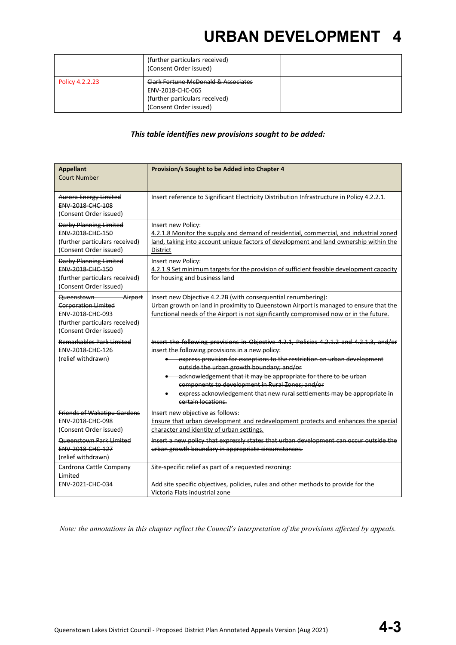|                 | (further particulars received)<br>(Consent Order issued)                                                                       |  |
|-----------------|--------------------------------------------------------------------------------------------------------------------------------|--|
| Policy 4.2.2.23 | <b>Clark Fortune McDonald &amp; Associates</b><br>ENV-2018-CHC-065<br>(further particulars received)<br>(Consent Order issued) |  |

#### *This table identifies new provisions sought to be added:*

| <b>Appellant</b><br><b>Court Number</b>                                                                                             | Provision/s Sought to be Added into Chapter 4                                                                                                                                                                                                                                                                                                                                                                                                                                                                  |
|-------------------------------------------------------------------------------------------------------------------------------------|----------------------------------------------------------------------------------------------------------------------------------------------------------------------------------------------------------------------------------------------------------------------------------------------------------------------------------------------------------------------------------------------------------------------------------------------------------------------------------------------------------------|
| <b>Aurora Energy Limited</b><br>ENV-2018-CHC-108<br>(Consent Order issued)                                                          | Insert reference to Significant Electricity Distribution Infrastructure in Policy 4.2.2.1.                                                                                                                                                                                                                                                                                                                                                                                                                     |
| <b>Darby Planning Limited</b><br>ENV-2018-CHC-150<br>(further particulars received)<br>(Consent Order issued)                       | Insert new Policy:<br>4.2.1.8 Monitor the supply and demand of residential, commercial, and industrial zoned<br>land, taking into account unique factors of development and land ownership within the<br>District                                                                                                                                                                                                                                                                                              |
| <b>Darby Planning Limited</b><br>ENV-2018-CHC-150<br>(further particulars received)<br>(Consent Order issued)                       | Insert new Policy:<br>4.2.1.9 Set minimum targets for the provision of sufficient feasible development capacity<br>for housing and business land                                                                                                                                                                                                                                                                                                                                                               |
| Airport<br>Queenstown<br><b>Corporation Limited</b><br>ENV-2018-CHC-093<br>(further particulars received)<br>(Consent Order issued) | Insert new Objective 4.2.2B (with consequential renumbering):<br>Urban growth on land in proximity to Queenstown Airport is managed to ensure that the<br>functional needs of the Airport is not significantly compromised now or in the future.                                                                                                                                                                                                                                                               |
| Remarkables Park Limited<br>ENV-2018-CHC-126<br>(relief withdrawn)                                                                  | Insert the following provisions in Objective 4.2.1, Policies 4.2.1.2 and 4.2.1.3, and/or<br>insert the following provisions in a new policy:<br>express provision for exceptions to the restriction on urban development<br>outside the urban growth boundary; and/or<br>• acknowledgement that it may be appropriate for there to be urban<br>components to development in Rural Zones; and/or<br>express acknowledgement that new rural settlements may be appropriate in<br>$\bullet$<br>certain locations. |
| <b>Friends of Wakatipu Gardens</b><br>ENV-2018-CHC-098<br>(Consent Order issued)                                                    | Insert new objective as follows:<br>Ensure that urban development and redevelopment protects and enhances the special<br>character and identity of urban settings.                                                                                                                                                                                                                                                                                                                                             |
| Queenstown Park Limited<br>ENV-2018-CHC-127<br>(relief withdrawn)                                                                   | Insert a new policy that expressly states that urban development can occur outside the<br>urban growth boundary in appropriate circumstances.                                                                                                                                                                                                                                                                                                                                                                  |
| Cardrona Cattle Company<br>Limited<br>ENV-2021-CHC-034                                                                              | Site-specific relief as part of a requested rezoning:<br>Add site specific objectives, policies, rules and other methods to provide for the<br>Victoria Flats industrial zone                                                                                                                                                                                                                                                                                                                                  |

*Note: the annotations in this chapter reflect the Council's interpretation of the provisions affected by appeals.*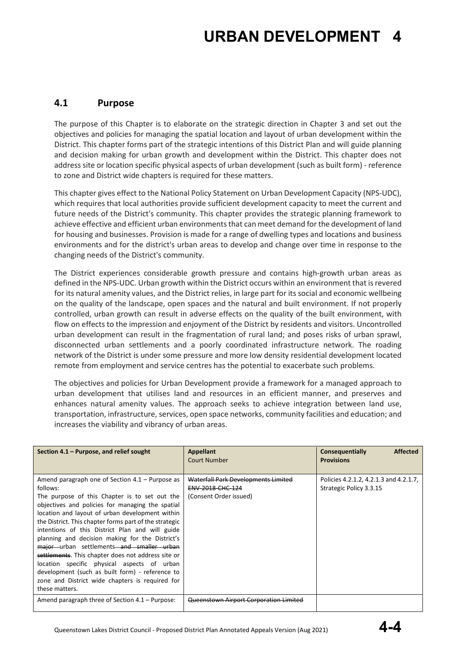#### **4.1 Purpose**

The purpose of this Chapter is to elaborate on the strategic direction in Chapter 3 and set out the objectives and policies for managing the spatial location and layout of urban development within the District. This chapter forms part of the strategic intentions of this District Plan and will guide planning and decision making for urban growth and development within the District. This chapter does not address site or location specific physical aspects of urban development (such as built form) - reference to zone and District wide chapters is required for these matters.

This chapter gives effect to the National Policy Statement on Urban Development Capacity (NPS-UDC), which requires that local authorities provide sufficient development capacity to meet the current and future needs of the District's community. This chapter provides the strategic planning framework to achieve effective and efficient urban environments that can meet demand for the development of land for housing and businesses. Provision is made for a range of dwelling types and locations and business environments and for the district's urban areas to develop and change over time in response to the changing needs of the District's community.

The District experiences considerable growth pressure and contains high-growth urban areas as defined in the NPS-UDC. Urban growth within the District occurs within an environment that is revered for its natural amenity values, and the District relies, in large part for its social and economic wellbeing on the quality of the landscape, open spaces and the natural and built environment. If not properly controlled, urban growth can result in adverse effects on the quality of the built environment, with flow on effects to the impression and enjoyment of the District by residents and visitors. Uncontrolled urban development can result in the fragmentation of rural land; and poses risks of urban sprawl, disconnected urban settlements and a poorly coordinated infrastructure network. The roading network of the District is under some pressure and more low density residential development located remote from employment and service centres has the potential to exacerbate such problems.

The objectives and policies for Urban Development provide a framework for a managed approach to urban development that utilises land and resources in an efficient manner, and preserves and enhances natural amenity values. The approach seeks to achieve integration between land use, transportation, infrastructure, services, open space networks, community facilities and education; and increases the viability and vibrancy of urban areas.

| Section 4.1 – Purpose, and relief sought                                                                                                                                                                                                                                                                                                                                                                                                                                                                                                                                                                                                                        | <b>Appellant</b><br>Court Number                                                  | <b>Affected</b><br>Consequentially<br><b>Provisions</b>           |
|-----------------------------------------------------------------------------------------------------------------------------------------------------------------------------------------------------------------------------------------------------------------------------------------------------------------------------------------------------------------------------------------------------------------------------------------------------------------------------------------------------------------------------------------------------------------------------------------------------------------------------------------------------------------|-----------------------------------------------------------------------------------|-------------------------------------------------------------------|
| Amend paragraph one of Section $4.1$ – Purpose as<br>follows:<br>The purpose of this Chapter is to set out the<br>objectives and policies for managing the spatial<br>location and layout of urban development within<br>the District. This chapter forms part of the strategic<br>intentions of this District Plan and will guide<br>planning and decision making for the District's<br>major urban settlements and smaller urban<br>settlements. This chapter does not address site or<br>location specific physical aspects of urban<br>development (such as built form) - reference to<br>zone and District wide chapters is required for<br>these matters. | Waterfall Park Developments Limited<br>ENV-2018-CHC-124<br>(Consent Order issued) | Policies 4.2.1.2, 4.2.1.3 and 4.2.1.7,<br>Strategic Policy 3.3.15 |
| Amend paragraph three of Section 4.1 – Purpose:                                                                                                                                                                                                                                                                                                                                                                                                                                                                                                                                                                                                                 | <b>Queenstown Airport Corporation Limited</b>                                     |                                                                   |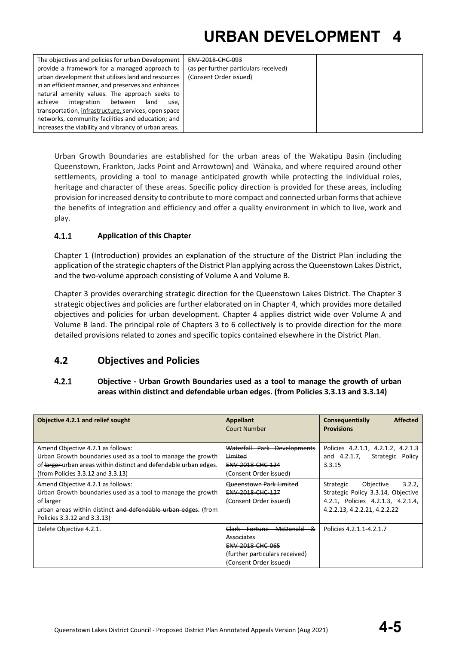Urban Growth Boundaries are established for the urban areas of the Wakatipu Basin (including Queenstown, Frankton, Jacks Point and Arrowtown) and Wānaka, and where required around other settlements, providing a tool to manage anticipated growth while protecting the individual roles, heritage and character of these areas. Specific policy direction is provided for these areas, including provision for increased density to contribute to more compact and connected urban forms that achieve the benefits of integration and efficiency and offer a quality environment in which to live, work and play.

#### $4.1.1$ **Application of this Chapter**

Chapter 1 (Introduction) provides an explanation of the structure of the District Plan including the application of the strategic chapters of the District Plan applying across the Queenstown Lakes District, and the two-volume approach consisting of Volume A and Volume B.

Chapter 3 provides overarching strategic direction for the Queenstown Lakes District. The Chapter 3 strategic objectives and policies are further elaborated on in Chapter 4, which provides more detailed objectives and policies for urban development. Chapter 4 applies district wide over Volume A and Volume B land. The principal role of Chapters 3 to 6 collectively is to provide direction for the more detailed provisions related to zones and specific topics contained elsewhere in the District Plan.

#### **4.2 Objectives and Policies**

#### $4.2.1$ **Objective - Urban Growth Boundaries used as a tool to manage the growth of urban areas within distinct and defendable urban edges. (from Policies 3.3.13 and 3.3.14)**

| Objective 4.2.1 and relief sought                                                                                                                                                                             | <b>Appellant</b><br>Court Number                                                                                                  | <b>Affected</b><br>Consequentially<br><b>Provisions</b>                                                                                     |
|---------------------------------------------------------------------------------------------------------------------------------------------------------------------------------------------------------------|-----------------------------------------------------------------------------------------------------------------------------------|---------------------------------------------------------------------------------------------------------------------------------------------|
| Amend Objective 4.2.1 as follows:<br>Urban Growth boundaries used as a tool to manage the growth<br>of larger-urban areas within distinct and defendable urban edges.<br>(from Policies 3.3.12 and 3.3.13)    | Waterfall Park Developments<br>Limited<br><b>ENV 2018 CHC 124</b><br>(Consent Order issued)                                       | Policies 4.2.1.1, 4.2.1.2, 4.2.1.3<br>and 4.2.1.7,<br>Strategic Policy<br>3.3.15                                                            |
| Amend Objective 4.2.1 as follows:<br>Urban Growth boundaries used as a tool to manage the growth<br>of larger<br>urban areas within distinct and defendable urban edges. (from<br>Policies 3.3.12 and 3.3.13) | Queenstown Park Limited<br>ENV-2018-CHC-127<br>(Consent Order issued)                                                             | 3.2.2.<br>Strategic<br>Objective<br>Strategic Policy 3.3.14, Objective<br>4.2.1, Policies 4.2.1.3, 4.2.1.4,<br>4.2.2.13, 4.2.2.21, 4.2.2.22 |
| Delete Objective 4.2.1.                                                                                                                                                                                       | Clark Fortune McDonald<br>-&<br><b>Associates</b><br>ENV-2018-CHC-065<br>(further particulars received)<br>(Consent Order issued) | Policies 4.2.1.1-4.2.1.7                                                                                                                    |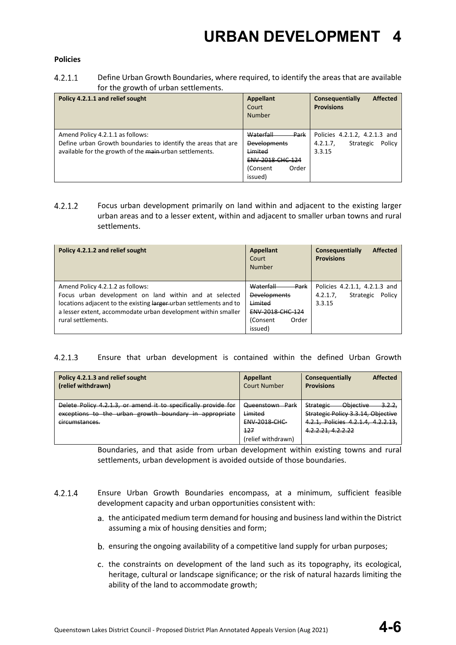#### **Policies**

 $4.2.1.1$ Define Urban Growth Boundaries, where required, to identify the areas that are available for the growth of urban settlements.

| Policy 4.2.1.1 and relief sought                              | <b>Appellant</b><br>Court<br><b>Number</b> | <b>Affected</b><br>Consequentially<br><b>Provisions</b> |
|---------------------------------------------------------------|--------------------------------------------|---------------------------------------------------------|
| Amend Policy 4.2.1.1 as follows:                              | Waterfall<br>Park                          | Policies 4.2.1.2, 4.2.1.3 and                           |
| Define urban Growth boundaries to identify the areas that are | <b>Developments</b>                        | Policy<br>Strategic<br>4.2.1.7                          |
| available for the growth of the main-urban settlements.       | Limited                                    | 3.3.15                                                  |
|                                                               | <b>ENV-2018-CHC-124</b>                    |                                                         |
|                                                               | Order<br>(Consent                          |                                                         |
|                                                               | issued)                                    |                                                         |

 $4.2.1.2$ Focus urban development primarily on land within and adjacent to the existing larger urban areas and to a lesser extent, within and adjacent to smaller urban towns and rural settlements.

| Policy 4.2.1.2 and relief sought                                                                                                                                                                                                  | <b>Appellant</b><br>Court<br><b>Number</b>                              | <b>Affected</b><br>Consequentially<br><b>Provisions</b>                   |
|-----------------------------------------------------------------------------------------------------------------------------------------------------------------------------------------------------------------------------------|-------------------------------------------------------------------------|---------------------------------------------------------------------------|
| Amend Policy 4.2.1.2 as follows:<br>Focus urban development on land within and at selected<br>locations adjacent to the existing larger urban settlements and to<br>a lesser extent, accommodate urban development within smaller | Waterfall<br>Park<br><b>Developments</b><br>Limited<br>ENV-2018-CHC-124 | Policies 4.2.1.1, 4.2.1.3 and<br>4.2.1.7<br>Policy<br>Strategic<br>3.3.15 |
| rural settlements.                                                                                                                                                                                                                | (Consent<br>Order<br>issued)                                            |                                                                           |

 $4.2.1.3$ Ensure that urban development is contained within the defined Urban Growth

| Policy 4.2.1.3 and relief sought<br>(relief withdrawn)                                                                                     | Appellant<br><b>Court Number</b>                                                | <b>Affected</b><br>Consequentially<br><b>Provisions</b>                                                                                          |
|--------------------------------------------------------------------------------------------------------------------------------------------|---------------------------------------------------------------------------------|--------------------------------------------------------------------------------------------------------------------------------------------------|
| Delete Policy 4.2.1.3, or amend it to specifically provide for<br>exceptions to the urban growth boundary in appropriate<br>circumstances. | Queenstown Park<br>Limited<br><b>ENV-2018-CHC-</b><br>127<br>(relief withdrawn) | Objective<br><u>3.2.2,</u><br><b>Strategic</b><br>Strategic Policy 3.3.14, Objective<br>4.2.1, Policies 4.2.1.4, 4.2.2.13,<br>4.2.2.21, 4.2.2.22 |

Boundaries, and that aside from urban development within existing towns and rural settlements, urban development is avoided outside of those boundaries.

- $4.2.1.4$ Ensure Urban Growth Boundaries encompass, at a minimum, sufficient feasible development capacity and urban opportunities consistent with:
	- a. the anticipated medium term demand for housing and business land within the District assuming a mix of housing densities and form;
	- b. ensuring the ongoing availability of a competitive land supply for urban purposes;
	- c. the constraints on development of the land such as its topography, its ecological, heritage, cultural or landscape significance; or the risk of natural hazards limiting the ability of the land to accommodate growth;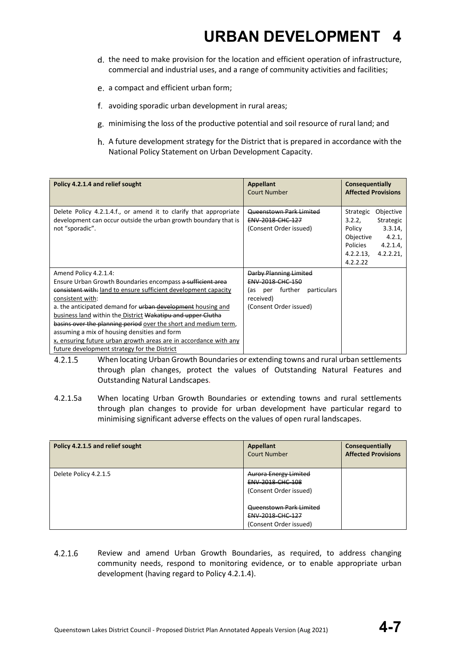- d. the need to make provision for the location and efficient operation of infrastructure, commercial and industrial uses, and a range of community activities and facilities;
- a compact and efficient urban form;
- avoiding sporadic urban development in rural areas;
- minimising the loss of the productive potential and soil resource of rural land; and
- h. A future development strategy for the District that is prepared in accordance with the National Policy Statement on Urban Development Capacity.

| Policy 4.2.1.4 and relief sought                                                                                                                        | <b>Appellant</b><br>Court Number                                             | Consequentially<br><b>Affected Provisions</b>                                                                                                               |
|---------------------------------------------------------------------------------------------------------------------------------------------------------|------------------------------------------------------------------------------|-------------------------------------------------------------------------------------------------------------------------------------------------------------|
| Delete Policy 4.2.1.4.f., or amend it to clarify that appropriate<br>development can occur outside the urban growth boundary that is<br>not "sporadic". | Queenstown Park Limited<br><b>ENV 2018 CHC 127</b><br>(Consent Order issued) | Objective<br>Strategic<br>Strategic<br>3.2.2.<br>3.3.14,<br>Policy<br>Objective<br>4.2.1<br><b>Policies</b><br>4.2.1.4<br>4.2.2.13,<br>4.2.2.21<br>4.2.2.22 |
| Amend Policy 4.2.1.4:                                                                                                                                   | Darby Planning Limited                                                       |                                                                                                                                                             |
| Ensure Urban Growth Boundaries encompass a sufficient area                                                                                              | ENV-2018-CHC-150                                                             |                                                                                                                                                             |
| consistent with: land to ensure sufficient development capacity                                                                                         | further<br>particulars<br>las.<br>per                                        |                                                                                                                                                             |
| consistent with:                                                                                                                                        | received)                                                                    |                                                                                                                                                             |
| a. the anticipated demand for urban development housing and                                                                                             | (Consent Order issued)                                                       |                                                                                                                                                             |
| business land within the District Wakatipu and upper Clutha                                                                                             |                                                                              |                                                                                                                                                             |
| basins over the planning period over the short and medium term,                                                                                         |                                                                              |                                                                                                                                                             |
| assuming a mix of housing densities and form                                                                                                            |                                                                              |                                                                                                                                                             |
| x. ensuring future urban growth areas are in accordance with any                                                                                        |                                                                              |                                                                                                                                                             |
| future development strategy for the District                                                                                                            |                                                                              |                                                                                                                                                             |

- $4.2.1.5$ When locating Urban Growth Boundaries or extending towns and rural urban settlements through plan changes, protect the values of Outstanding Natural Features and Outstanding Natural Landscapes.
- 4.2.1.5a When locating Urban Growth Boundaries or extending towns and rural settlements through plan changes to provide for urban development have particular regard to minimising significant adverse effects on the values of open rural landscapes.

| Policy 4.2.1.5 and relief sought | Appellant<br><b>Court Number</b>                                           | Consequentially<br><b>Affected Provisions</b> |
|----------------------------------|----------------------------------------------------------------------------|-----------------------------------------------|
| Delete Policy 4.2.1.5            | <b>Aurora Energy Limited</b><br>ENV-2018-CHC-108<br>(Consent Order issued) |                                               |
|                                  | Queenstown Park Limited<br>ENV-2018-CHC-127                                |                                               |
|                                  | (Consent Order issued)                                                     |                                               |

 $4.2.1.6$ Review and amend Urban Growth Boundaries, as required, to address changing community needs, respond to monitoring evidence, or to enable appropriate urban development (having regard to Policy 4.2.1.4).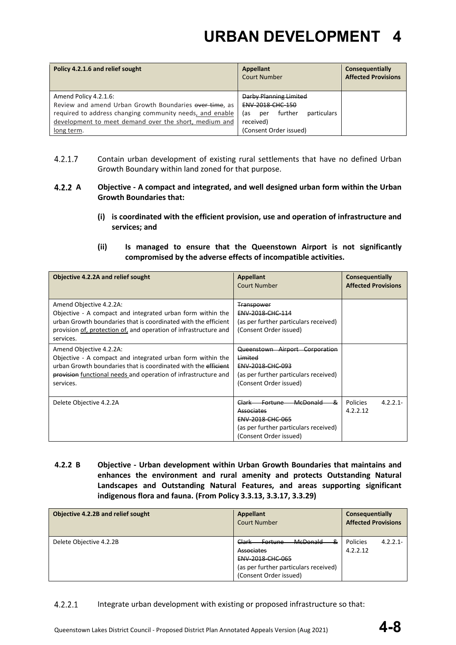| Policy 4.2.1.6 and relief sought                                                                                                                                                                     | Appellant<br><b>Court Number</b>                                                                        | Consequentially<br><b>Affected Provisions</b> |
|------------------------------------------------------------------------------------------------------------------------------------------------------------------------------------------------------|---------------------------------------------------------------------------------------------------------|-----------------------------------------------|
| Amend Policy 4.2.1.6:<br>Review and amend Urban Growth Boundaries over time, as<br>required to address changing community needs, and enable<br>development to meet demand over the short, medium and | Darby Planning Limited<br><b>ENV 2018 CHC 150</b><br>particulars<br>further<br>las.<br>per<br>received) |                                               |
| long term.                                                                                                                                                                                           | (Consent Order issued)                                                                                  |                                               |

- $4.2.1.7$ Contain urban development of existing rural settlements that have no defined Urban Growth Boundary within land zoned for that purpose.
- **A Objective - A compact and integrated, and well designed urban form within the Urban Growth Boundaries that:**
	- **(i) is coordinated with the efficient provision, use and operation of infrastructure and services; and**
	- **(ii) Is managed to ensure that the Queenstown Airport is not significantly compromised by the adverse effects of incompatible activities.**

| <b>Objective 4.2.2A and relief sought</b>                                                                                                                                                                                                | <b>Appellant</b><br>Court Number                                                                                                                            | Consequentially<br><b>Affected Provisions</b> |
|------------------------------------------------------------------------------------------------------------------------------------------------------------------------------------------------------------------------------------------|-------------------------------------------------------------------------------------------------------------------------------------------------------------|-----------------------------------------------|
| Amend Objective 4.2.2A:<br>Objective - A compact and integrated urban form within the<br>urban Growth boundaries that is coordinated with the efficient<br>provision of, protection of, and operation of infrastructure and<br>services. | <b>Transpower</b><br><b>ENV 2018 CHC 114</b><br>(as per further particulars received)<br>(Consent Order issued)                                             |                                               |
| Amend Objective 4.2.2A:<br>Objective - A compact and integrated urban form within the<br>urban Growth boundaries that is coordinated with the efficient<br>provision functional needs and operation of infrastructure and<br>services.   | Queenstown Airport Corporation<br>Limited<br>ENV-2018-CHC-093<br>(as per further particulars received)<br>(Consent Order issued)                            |                                               |
| Delete Objective 4.2.2A                                                                                                                                                                                                                  | <b>McDonald</b><br><b>Fortune</b><br>&<br>Clark<br>Associates<br><b>ENV 2018 CHC 065</b><br>(as per further particulars received)<br>(Consent Order issued) | <b>Policies</b><br>$4.2.2.1 -$<br>4.2.2.12    |

 **4.2.2 B Objective - Urban development within Urban Growth Boundaries that maintains and enhances the environment and rural amenity and protects Outstanding Natural Landscapes and Outstanding Natural Features, and areas supporting significant indigenous flora and fauna. (From Policy 3.3.13, 3.3.17, 3.3.29)**

| Objective 4.2.2B and relief sought | <b>Appellant</b><br>Court Number                                                                                                                                       | Consequentially<br><b>Affected Provisions</b> |
|------------------------------------|------------------------------------------------------------------------------------------------------------------------------------------------------------------------|-----------------------------------------------|
| Delete Objective 4.2.2B            | <b>McDonald</b><br>Clark<br>&<br><del>Fortune</del><br><b>Associates</b><br><b>ENV-2018-CHC-065</b><br>(as per further particulars received)<br>(Consent Order issued) | Policies<br>$4.2.2.1 -$<br>4.2.2.12           |

#### $4.2.2.1$ Integrate urban development with existing or proposed infrastructure so that: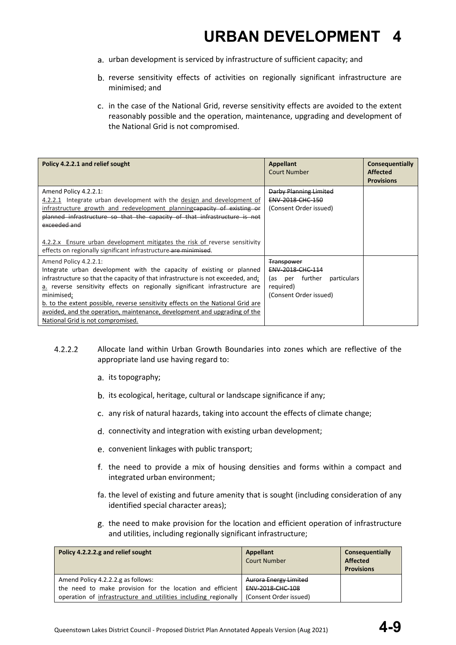- a. urban development is serviced by infrastructure of sufficient capacity; and
- b. reverse sensitivity effects of activities on regionally significant infrastructure are minimised; and
- c. in the case of the National Grid, reverse sensitivity effects are avoided to the extent reasonably possible and the operation, maintenance, upgrading and development of the National Grid is not compromised.

| Policy 4.2.2.1 and relief sought                                                                                                                                                                                                                                                                                                                                                                                                                                                    | <b>Appellant</b><br><b>Court Number</b>                                                                        | Consequentially<br><b>Affected</b><br><b>Provisions</b> |
|-------------------------------------------------------------------------------------------------------------------------------------------------------------------------------------------------------------------------------------------------------------------------------------------------------------------------------------------------------------------------------------------------------------------------------------------------------------------------------------|----------------------------------------------------------------------------------------------------------------|---------------------------------------------------------|
| Amend Policy 4.2.2.1:<br>4.2.2.1 Integrate urban development with the design and development of<br>infrastructure growth and redevelopment planning capacity of existing or<br>planned infrastructure so that the capacity of that infrastructure is not<br>exceeded and<br>4.2.2.x Ensure urban development mitigates the risk of reverse sensitivity                                                                                                                              | <b>Darby Planning Limited</b><br>ENV-2018-CHC-150<br>(Consent Order issued)                                    |                                                         |
| effects on regionally significant infrastructure are minimised.                                                                                                                                                                                                                                                                                                                                                                                                                     |                                                                                                                |                                                         |
| Amend Policy 4.2.2.1:<br>Integrate urban development with the capacity of existing or planned<br>infrastructure so that the capacity of that infrastructure is not exceeded, and;<br>a. reverse sensitivity effects on regionally significant infrastructure are<br>minimised;<br>b. to the extent possible, reverse sensitivity effects on the National Grid are<br>avoided, and the operation, maintenance, development and upgrading of the<br>National Grid is not compromised. | <b>Transpower</b><br>ENV-2018-CHC-114<br>(as per further<br>particulars<br>required)<br>(Consent Order issued) |                                                         |

- $4.2.2.2$ Allocate land within Urban Growth Boundaries into zones which are reflective of the appropriate land use having regard to:
	- a. its topography;
	- b. its ecological, heritage, cultural or landscape significance if any;
	- any risk of natural hazards, taking into account the effects of climate change;
	- d. connectivity and integration with existing urban development;
	- convenient linkages with public transport;
	- f. the need to provide a mix of housing densities and forms within a compact and integrated urban environment;
	- fa. the level of existing and future amenity that is sought (including consideration of any identified special character areas);
	- g. the need to make provision for the location and efficient operation of infrastructure and utilities, including regionally significant infrastructure;

| Policy 4.2.2.2.g and relief sought                             | Appellant<br><b>Court Number</b> | Consequentially<br><b>Affected</b><br><b>Provisions</b> |
|----------------------------------------------------------------|----------------------------------|---------------------------------------------------------|
| Amend Policy 4.2.2.2.g as follows:                             | <b>Aurora Energy Limited</b>     |                                                         |
| the need to make provision for the location and efficient      | ENV-2018-CHC-108                 |                                                         |
| operation of infrastructure and utilities including regionally | (Consent Order issued)           |                                                         |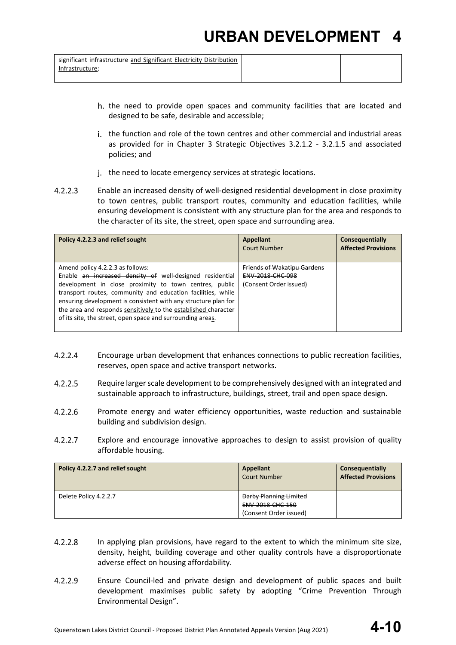significant infrastructure and Significant Electricity Distribution Infrastructure;

- - h, the need to provide open spaces and community facilities that are located and designed to be safe, desirable and accessible;
	- i. the function and role of the town centres and other commercial and industrial areas as provided for in Chapter 3 Strategic Objectives 3.2.1.2 - 3.2.1.5 and associated policies; and
	- j. the need to locate emergency services at strategic locations.
- $4.2.2.3$ Enable an increased density of well-designed residential development in close proximity to town centres, public transport routes, community and education facilities, while ensuring development is consistent with any structure plan for the area and responds to the character of its site, the street, open space and surrounding area.

| Policy 4.2.2.3 and relief sought                                                                                                                                                                                                                                                                                                                                                                                        | <b>Appellant</b><br><b>Court Number</b>                                          | Consequentially<br><b>Affected Provisions</b> |
|-------------------------------------------------------------------------------------------------------------------------------------------------------------------------------------------------------------------------------------------------------------------------------------------------------------------------------------------------------------------------------------------------------------------------|----------------------------------------------------------------------------------|-----------------------------------------------|
| Amend policy 4.2.2.3 as follows:<br>Enable an increased density of well-designed residential<br>development in close proximity to town centres, public<br>transport routes, community and education facilities, while<br>ensuring development is consistent with any structure plan for<br>the area and responds sensitively to the established character<br>of its site, the street, open space and surrounding areas. | Friends of Wakatipu Gardens<br><b>ENV 2018 CHC 098</b><br>(Consent Order issued) |                                               |

- $4.2.2.4$ Encourage urban development that enhances connections to public recreation facilities, reserves, open space and active transport networks.
- $4.2.2.5$ Require larger scale development to be comprehensively designed with an integrated and sustainable approach to infrastructure, buildings, street, trail and open space design.
- $4.2.2.6$ Promote energy and water efficiency opportunities, waste reduction and sustainable building and subdivision design.
- $4.2.2.7$ Explore and encourage innovative approaches to design to assist provision of quality affordable housing.

| Policy 4.2.2.7 and relief sought | Appellant<br><b>Court Number</b>                  | Consequentially<br><b>Affected Provisions</b> |
|----------------------------------|---------------------------------------------------|-----------------------------------------------|
| Delete Policy 4.2.2.7            | Darby Planning Limited<br><b>ENV 2018 CHC 150</b> |                                               |
|                                  | (Consent Order issued)                            |                                               |

- $4.2.2.8$ In applying plan provisions, have regard to the extent to which the minimum site size, density, height, building coverage and other quality controls have a disproportionate adverse effect on housing affordability.
- $4.2.2.9$ Ensure Council-led and private design and development of public spaces and built development maximises public safety by adopting "Crime Prevention Through Environmental Design".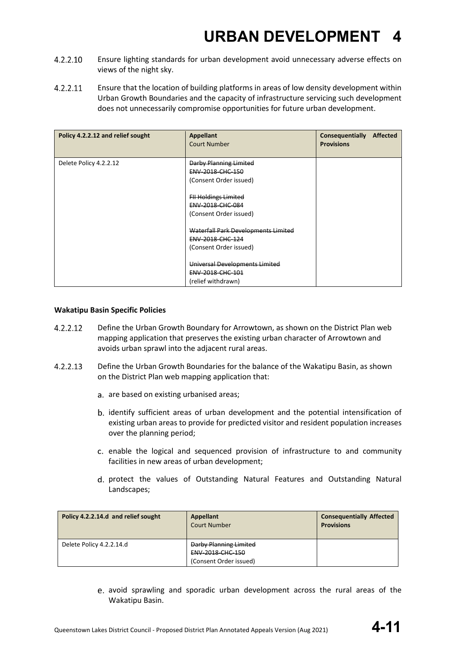- $4.2.2.10$ Ensure lighting standards for urban development avoid unnecessary adverse effects on views of the night sky.
- 4.2.2.11 Ensure that the location of building platforms in areas of low density development within Urban Growth Boundaries and the capacity of infrastructure servicing such development does not unnecessarily compromise opportunities for future urban development.

| Policy 4.2.2.12 and relief sought | <b>Appellant</b><br><b>Court Number</b>                                           | <b>Consequentially</b><br><b>Affected</b><br><b>Provisions</b> |
|-----------------------------------|-----------------------------------------------------------------------------------|----------------------------------------------------------------|
| Delete Policy 4.2.2.12            | <b>Darby Planning Limited</b><br>ENV-2018-CHC-150<br>(Consent Order issued)       |                                                                |
|                                   | <b>FII Holdings Limited</b><br>ENV-2018-CHC-084<br>(Consent Order issued)         |                                                                |
|                                   | Waterfall Park Developments Limited<br>ENV-2018-CHC-124<br>(Consent Order issued) |                                                                |
|                                   | Universal Developments Limited<br>ENV-2018-CHC-101<br>(relief withdrawn)          |                                                                |

#### **Wakatipu Basin Specific Policies**

- 4.2.2.12 Define the Urban Growth Boundary for Arrowtown, as shown on the District Plan web mapping application that preserves the existing urban character of Arrowtown and avoids urban sprawl into the adjacent rural areas.
- $4.2.2.13$ Define the Urban Growth Boundaries for the balance of the Wakatipu Basin, as shown on the District Plan web mapping application that:
	- a. are based on existing urbanised areas;
	- b. identify sufficient areas of urban development and the potential intensification of existing urban areas to provide for predicted visitor and resident population increases over the planning period;
	- c. enable the logical and sequenced provision of infrastructure to and community facilities in new areas of urban development;
	- d. protect the values of Outstanding Natural Features and Outstanding Natural Landscapes;

| Policy 4.2.2.14.d and relief sought | <b>Appellant</b><br><b>Court Number</b>                              | <b>Consequentially Affected</b><br><b>Provisions</b> |
|-------------------------------------|----------------------------------------------------------------------|------------------------------------------------------|
| Delete Policy 4.2.2.14.d            | Darby Planning Limited<br>ENV-2018-CHC-150<br>(Consent Order issued) |                                                      |

avoid sprawling and sporadic urban development across the rural areas of the Wakatipu Basin.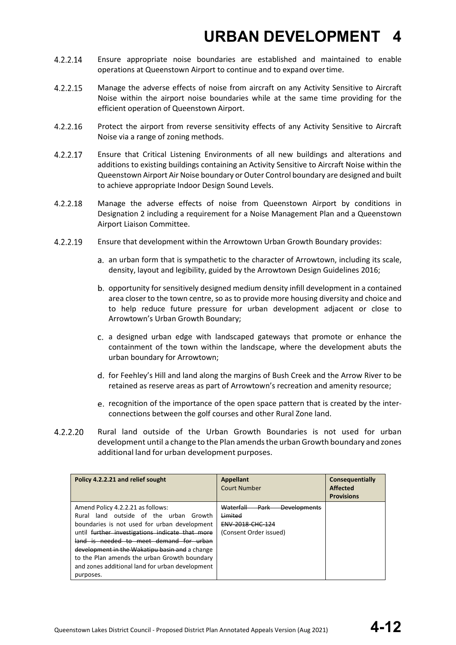- 4.2.2.14 Ensure appropriate noise boundaries are established and maintained to enable operations at Queenstown Airport to continue and to expand overtime.
- 4.2.2.15 Manage the adverse effects of noise from aircraft on any Activity Sensitive to Aircraft Noise within the airport noise boundaries while at the same time providing for the efficient operation of Queenstown Airport.
- $4.2.2.16$ Protect the airport from reverse sensitivity effects of any Activity Sensitive to Aircraft Noise via a range of zoning methods.
- 4.2.2.17 Ensure that Critical Listening Environments of all new buildings and alterations and additions to existing buildings containing an Activity Sensitive to Aircraft Noise within the Queenstown Airport Air Noise boundary or Outer Control boundary are designed and built to achieve appropriate Indoor Design Sound Levels.
- 4.2.2.18 Manage the adverse effects of noise from Queenstown Airport by conditions in Designation 2 including a requirement for a Noise Management Plan and a Queenstown Airport Liaison Committee.
- 4.2.2.19 Ensure that development within the Arrowtown Urban Growth Boundary provides:
	- an urban form that is sympathetic to the character of Arrowtown, including its scale, density, layout and legibility, guided by the Arrowtown Design Guidelines 2016;
	- b. opportunity for sensitively designed medium density infill development in a contained area closer to the town centre, so as to provide more housing diversity and choice and to help reduce future pressure for urban development adjacent or close to Arrowtown's Urban Growth Boundary;
	- c. a designed urban edge with landscaped gateways that promote or enhance the containment of the town within the landscape, where the development abuts the urban boundary for Arrowtown;
	- d. for Feehley's Hill and land along the margins of Bush Creek and the Arrow River to be retained as reserve areas as part of Arrowtown's recreation and amenity resource;
	- e. recognition of the importance of the open space pattern that is created by the interconnections between the golf courses and other Rural Zone land.
- $4.2.2.20$ Rural land outside of the Urban Growth Boundaries is not used for urban development until a change to the Plan amendsthe urbanGrowth boundary and zones additional land for urban development purposes.

| Policy 4.2.2.21 and relief sought                                                                                                                                                                                                                                                                                                                                                           | <b>Appellant</b><br><b>Court Number</b>                                                               | Consequentially<br><b>Affected</b><br><b>Provisions</b> |
|---------------------------------------------------------------------------------------------------------------------------------------------------------------------------------------------------------------------------------------------------------------------------------------------------------------------------------------------------------------------------------------------|-------------------------------------------------------------------------------------------------------|---------------------------------------------------------|
| Amend Policy 4.2.2.21 as follows:<br>Rural land outside of the urban Growth<br>boundaries is not used for urban development<br>until further investigations indicate that more<br>land is needed to meet demand for urban<br>development in the Wakatipu basin and a change<br>to the Plan amends the urban Growth boundary<br>and zones additional land for urban development<br>purposes. | Waterfall<br><del>Developments</del><br>Park<br>Limited<br>ENV-2018-CHC-124<br>(Consent Order issued) |                                                         |